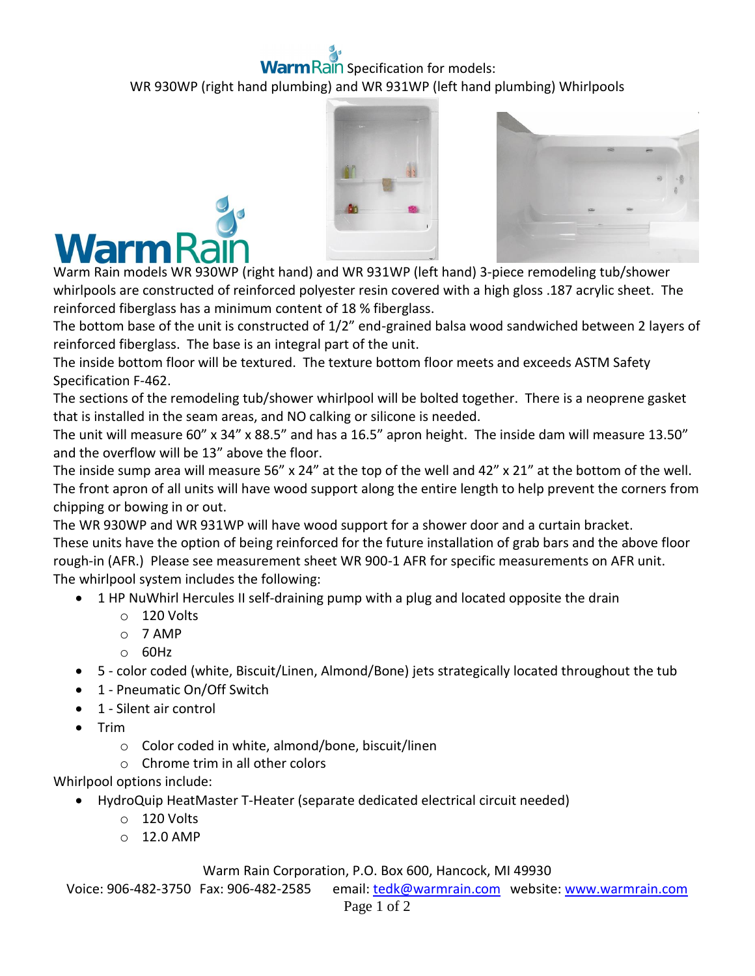## Rain Specification for models: WR 930WP (right hand plumbing) and WR 931WP (left hand plumbing) Whirlpools







Warm Rain models WR 930WP (right hand) and WR 931WP (left hand) 3-piece remodeling tub/shower whirlpools are constructed of reinforced polyester resin covered with a high gloss .187 acrylic sheet. The reinforced fiberglass has a minimum content of 18 % fiberglass.

The bottom base of the unit is constructed of 1/2" end-grained balsa wood sandwiched between 2 layers of reinforced fiberglass. The base is an integral part of the unit.

The inside bottom floor will be textured. The texture bottom floor meets and exceeds ASTM Safety Specification F-462.

The sections of the remodeling tub/shower whirlpool will be bolted together. There is a neoprene gasket that is installed in the seam areas, and NO calking or silicone is needed.

The unit will measure 60" x 34" x 88.5" and has a 16.5" apron height. The inside dam will measure 13.50" and the overflow will be 13" above the floor.

The inside sump area will measure 56" x 24" at the top of the well and 42" x 21" at the bottom of the well. The front apron of all units will have wood support along the entire length to help prevent the corners from chipping or bowing in or out.

The WR 930WP and WR 931WP will have wood support for a shower door and a curtain bracket. These units have the option of being reinforced for the future installation of grab bars and the above floor rough-in (AFR.) Please see measurement sheet WR 900-1 AFR for specific measurements on AFR unit. The whirlpool system includes the following:

- 1 HP NuWhirl Hercules II self-draining pump with a plug and located opposite the drain
	- o 120 Volts
	- o 7 AMP
	- o 60Hz
- 5 color coded (white, Biscuit/Linen, Almond/Bone) jets strategically located throughout the tub
- 1 Pneumatic On/Off Switch
- 1 Silent air control
- $\bullet$  Trim
	- o Color coded in white, almond/bone, biscuit/linen
	- o Chrome trim in all other colors

Whirlpool options include:

- HydroQuip HeatMaster T-Heater (separate dedicated electrical circuit needed)
	- o 120 Volts
	- $\circ$  12.0 AMP

## Warm Rain Corporation, P.O. Box 600, Hancock, MI 49930

Voice: 906-482-3750 Fax: 906-482-2585 email[: tedk@warmrain.com](mailto:tedk@warmrain.com) website: [www.warmrain.com](http://www.warmrain.com/)